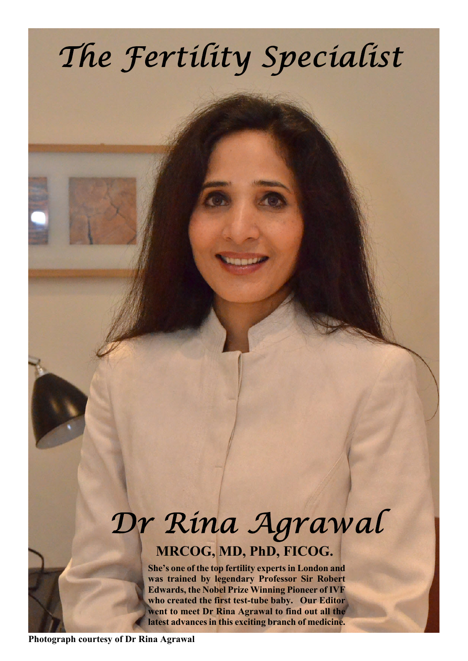# The Fertility Specialist

## Dr Rina Agrawal **MRCOG, MD, PhD, FICOG.**

**She's one of the top fertility experts in London and was trained by legendary Professor Sir Robert Edwards, the Nobel Prize Winning Pioneer of IVF who created the first test-tube baby. Our Editor went to meet Dr Rina Agrawal to find out all the latest advances in this exciting branch of medicine.**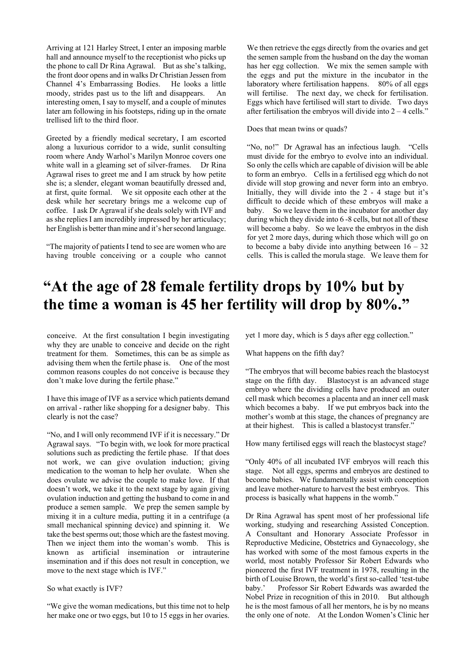Arriving at 121 Harley Street, I enter an imposing marble hall and announce myself to the receptionist who picks up the phone to call Dr Rina Agrawal. But as she's talking, the front door opens and in walks Dr Christian Jessen from Channel 4's Embarrassing Bodies. He looks a little moody, strides past us to the lift and disappears. An interesting omen, I say to myself, and a couple of minutes later am following in his footsteps, riding up in the ornate trellised lift to the third floor.

Greeted by a friendly medical secretary, I am escorted along a luxurious corridor to a wide, sunlit consulting room where Andy Warhol's Marilyn Monroe covers one white wall in a gleaming set of silver-frames. Dr Rina Agrawal rises to greet me and I am struck by how petite she is; a slender, elegant woman beautifully dressed and, at first, quite formal. We sit opposite each other at the desk while her secretary brings me a welcome cup of coffee. I ask Dr Agrawal if she deals solely with IVF and as she replies I am incredibly impressed by her articulacy; her English is better than mine and it's her second language.

"The majority of patients I tend to see are women who are having trouble conceiving or a couple who cannot We then retrieve the eggs directly from the ovaries and get the semen sample from the husband on the day the woman has her egg collection. We mix the semen sample with the eggs and put the mixture in the incubator in the laboratory where fertilisation happens. 80% of all eggs will fertilise. The next day, we check for fertilisation. Eggs which have fertilised will start to divide. Two days after fertilisation the embryos will divide into  $2 - 4$  cells."

Does that mean twins or quads?

"No, no!" Dr Agrawal has an infectious laugh. "Cells must divide for the embryo to evolve into an individual. So only the cells which are capable of division will be able to form an embryo. Cells in a fertilised egg which do not divide will stop growing and never form into an embryo. Initially, they will divide into the 2 - 4 stage but it's difficult to decide which of these embryos will make a baby. So we leave them in the incubator for another day during which they divide into 6 -8 cells, but not all of these will become a baby. So we leave the embryos in the dish for yet 2 more days, during which those which will go on to become a baby divide into anything between  $16 - 32$ cells. This is called the morula stage. We leave them for

### **"At the age of 28 female fertility drops by 10% but by the time a woman is 45 her fertility will drop by 80%."**

conceive. At the first consultation I begin investigating why they are unable to conceive and decide on the right treatment for them. Sometimes, this can be as simple as advising them when the fertile phase is. One of the most common reasons couples do not conceive is because they don't make love during the fertile phase."

I have this image of IVF as a service which patients demand on arrival - rather like shopping for a designer baby. This clearly is not the case?

"No, and I will only recommend IVF if it is necessary." Dr Agrawal says. "To begin with, we look for more practical solutions such as predicting the fertile phase. If that does not work, we can give ovulation induction; giving medication to the woman to help her ovulate. When she does ovulate we advise the couple to make love. If that doesn't work, we take it to the next stage by again giving ovulation induction and getting the husband to come in and produce a semen sample. We prep the semen sample by mixing it in a culture media, putting it in a centrifuge (a small mechanical spinning device) and spinning it. We take the best sperms out; those which are the fastest moving. Then we inject them into the woman's womb. This is known as artificial insemination or intrauterine insemination and if this does not result in conception, we move to the next stage which is IVF."

So what exactly is IVF?

"We give the woman medications, but this time not to help her make one or two eggs, but 10 to 15 eggs in her ovaries. yet 1 more day, which is 5 days after egg collection."

What happens on the fifth day?

"The embryos that will become babies reach the blastocyst stage on the fifth day. Blastocyst is an advanced stage embryo where the dividing cells have produced an outer cell mask which becomes a placenta and an inner cell mask which becomes a baby. If we put embryos back into the mother's womb at this stage, the chances of pregnancy are at their highest. This is called a blastocyst transfer."

How many fertilised eggs will reach the blastocyst stage?

"Only 40% of all incubated IVF embryos will reach this stage. Not all eggs, sperms and embryos are destined to become babies. We fundamentally assist with conception and leave mother-nature to harvest the best embryos. This process is basically what happens in the womb."

Dr Rina Agrawal has spent most of her professional life working, studying and researching Assisted Conception. A Consultant and Honorary Associate Professor in Reproductive Medicine, Obstetrics and Gynaecology, she has worked with some of the most famous experts in the world, most notably Professor Sir Robert Edwards who pioneered the first IVF treatment in 1978, resulting in the birth of Louise Brown, the world's first so-called 'test-tube baby.' Professor Sir Robert Edwards was awarded the Nobel Prize in recognition of this in 2010. But although he is the most famous of all her mentors, he is by no means the only one of note. At the London Women's Clinic her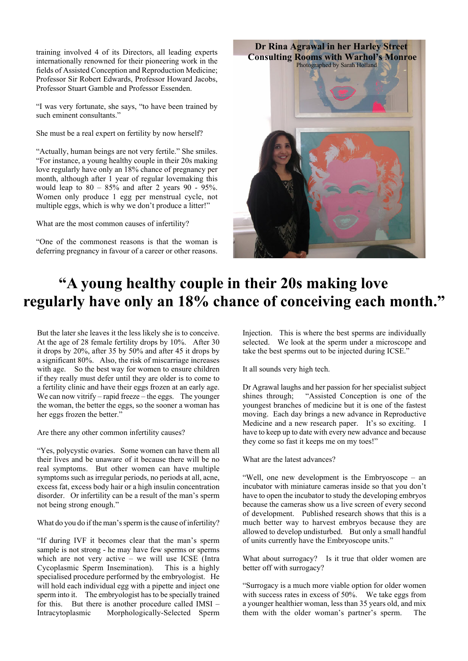training involved 4 of its Directors, all leading experts internationally renowned for their pioneering work in the fields of Assisted Conception and Reproduction Medicine; Professor Sir Robert Edwards, Professor Howard Jacobs, Professor Stuart Gamble and Professor Essenden.

"I was very fortunate, she says, "to have been trained by such eminent consultants."

She must be a real expert on fertility by now herself?

"Actually, human beings are not very fertile." She smiles. "For instance, a young healthy couple in their 20s making love regularly have only an 18% chance of pregnancy per month, although after 1 year of regular lovemaking this would leap to  $80 - 85\%$  and after 2 years  $90 - 95\%$ . Women only produce 1 egg per menstrual cycle, not multiple eggs, which is why we don't produce a litter!"

What are the most common causes of infertility?

"One of the commonest reasons is that the woman is deferring pregnancy in favour of a career or other reasons.



### **"A young healthy couple in their 20s making love regularly have only an 18% chance of conceiving each month."**

But the later she leaves it the less likely she is to conceive. At the age of 28 female fertility drops by 10%. After 30 it drops by 20%, after 35 by 50% and after 45 it drops by a significant 80%. Also, the risk of miscarriage increases with age. So the best way for women to ensure children if they really must defer until they are older is to come to a fertility clinic and have their eggs frozen at an early age. We can now vitrify – rapid freeze – the eggs. The younger the woman, the better the eggs, so the sooner a woman has her eggs frozen the better."

Are there any other common infertility causes?

"Yes, polycystic ovaries. Some women can have them all their lives and be unaware of it because there will be no real symptoms. But other women can have multiple symptoms such as irregular periods, no periods at all, acne, excess fat, excess body hair or a high insulin concentration disorder. Or infertility can be a result of the man's sperm not being strong enough."

What do you do if the man's sperm is the cause of infertility?

"If during IVF it becomes clear that the man's sperm sample is not strong - he may have few sperms or sperms which are not very active – we will use ICSE (Intra Cycoplasmic Sperm Insemination). This is a highly specialised procedure performed by the embryologist. He will hold each individual egg with a pipette and inject one sperm into it. The embryologist has to be specially trained for this. But there is another procedure called IMSI – Intracytoplasmic Morphologically-Selected Sperm Injection. This is where the best sperms are individually selected. We look at the sperm under a microscope and take the best sperms out to be injected during ICSE."

It all sounds very high tech.

Dr Agrawal laughs and her passion for her specialist subject shines through; "Assisted Conception is one of the youngest branches of medicine but it is one of the fastest moving. Each day brings a new advance in Reproductive Medicine and a new research paper. It's so exciting. I have to keep up to date with every new advance and because they come so fast it keeps me on my toes!"

What are the latest advances?

"Well, one new development is the Embryoscope – an incubator with miniature cameras inside so that you don't have to open the incubator to study the developing embryos because the cameras show us a live screen of every second of development. Published research shows that this is a much better way to harvest embryos because they are allowed to develop undisturbed. But only a small handful of units currently have the Embryoscope units."

What about surrogacy? Is it true that older women are better off with surrogacy?

"Surrogacy is a much more viable option for older women with success rates in excess of 50%. We take eggs from a younger healthier woman, less than 35 years old, and mix them with the older woman's partner's sperm. The